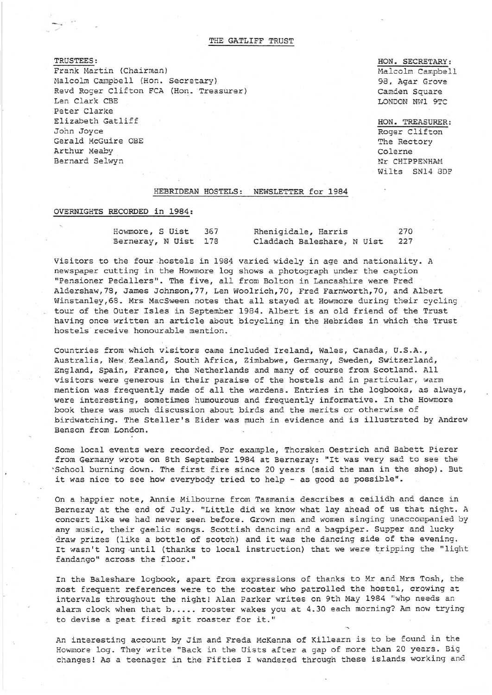THE GATLIFF TRUST

TRUSTEES: Frank Martin (Chairman) Malcolm Campbell (Hon. Secretary) Revd Roger Clifton FCA (Hon. Treasurer) Len Clark CBE Peter Clarke Elizabeth Gatliff John Joyce Gerald McGuire OBE Arthur Meaby Bernard Selwyn

HON. SECRETARY: Halcolm Campbell 98, Agar Grove Camden Square LONDON NW1 9TC

HON. TREASURER: Roger Clifton The Rectory Colerne Nr CHIPPENHAM Wilts SN14 8DF

## HEBRIDEAN HOSTELS: NEWSLETTER for 1984

## OVERNIGHTS RECORDED in 1984:

 $-$ 

| Howmore, S Uist      |  | 367 | Rhenigidale, Harris        | 270 |
|----------------------|--|-----|----------------------------|-----|
| Berneray, N Uist 178 |  |     | Claddach Baleshare, N Uist | 227 |

Visitors to the four hostels in 1984 varied widely in age and nationality. A newspaper cutting in the Howmore log shows a photograph under the caption "Pensioner Pedallers". The five, all from Bolton in Lancashire were Fred Aldershaw,78, James Johnson,77, Len Woolrich,70, Fred Farnworth,70, and Albert Winstanley, 68. Mrs MacSween notes that all stayed at Howmore during their cycling tour of the Outer Isles in September 1984. Albert is an old friend of the Trust having once written an article about bicycling in the Hebrides in which the Trust hostels receive honourable mention.

Countries from which visitors came included Ireland, Wales, Canada, U.S.A., Australia, New Zealand, South Africa, Zimbabwe, Germany, Sweden, Switzerland, England, Spain, France, the Netherlands and many of course from Scotland. All visitors were generous in their paraise of the hostels and in particular, warm mention was frequently made of all the wardens. Entries in the logbooks, as always, were interesting, sometimes humourous and frequently informative. In the Howmore book there was much discussion about birds and the merits or otherwise of birdwatching. The Steller's Eider was much in evidence and is illustrated by Andrew Benson from London.

Some local events were recorded. For example, Thorsken Oestrich and Babett Pierer from Germany wrote on 8th September 1984 at Berneray: "It was very sad to see the ' School burning down. The first fire since 20 years (said the man in the shop). But it was nice to see how everybody tried to help - as good as possible".

On a happier note, Annie Hilbourne from Tasmania describes a ceilidh and dance in Berneray at the end of July. "Little did we know what lay ahead of us that night. A concert like we had never seen before. Grown men and women singing unaccompanied by any music, their gaelic songs. Scottish dancing and a bagpiper. Supper and lucky draw prizes (like a bottle of scotch) and it was the dancing side of the evening. It wasn't long until (thanks to local instruction) that we were tripping the "light fandango" across the floor."

In the Baleshare logbook, apart from expressions of thanks to Mr and Mrs Tosh, the most frequent references were to the rooster who patrolled the hostel, crowing at intervals throughout the night! Alan Parker writes on 9th May 1984 "who needs an alarm clock when that b..... rooster wakes you at 4.30 each morning? Am now trying to devise a peat fired spit roaster for it."

An interesting account by Jim and Freda McKenna of Killearn is to be found in the Howmore log. They write "Back in the Uists after a gap of more than 20 years. Big changes! As a teenager in the Fifties I wandered through these islands working and